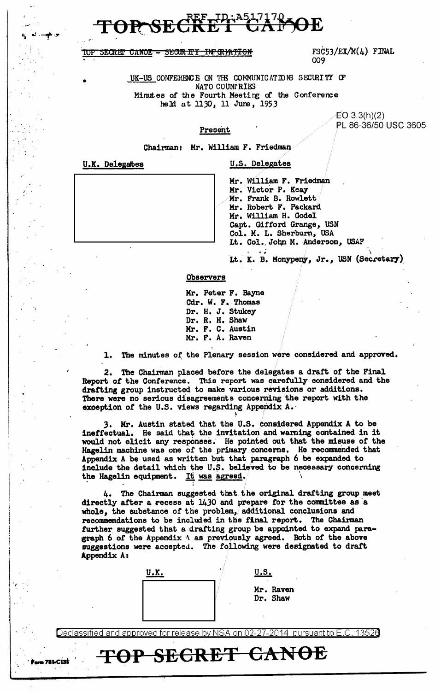IOP SECRET CANOE - SECUR ITY INPORPATION  $FSC53/EX/M(4)$  FINAL 009

UK-US CONFERENCE ON THE COMMUNICATIONS SECURITY OF NATO COUNf RIES Minutes of the Fourth Meeting of the Conference held at 1130, 11 June, 1953

> EO 3.3(h)(2) PL 86-36/50 USC 3605

## Present

Chairman: Mr. William F. Friedman

•

*1.* 

...

U.K. Delegates U.S. Delegates

Mr. William F. Friedman Mr. Victor P. Keay Mr. Frank B. Rowlett Mr. Robert. F. Packard Mr. William H. Godel Capt. Gifford Grange, USN Col. M. L. Sherburn, USA Lt. Col. John M. Anderson, USAF

Lt. K. B. Monypeny, Jr., USN (Secretary)

## Observers

Mr. Peter F. Bayne Cdr. W. F. Thomas Dr. H. J. Stukey Dr. R. H. Shaw Mr. F. C. Austin Mr. F. A. Raven

1. The minutes of the Plenary session were considered and approved.

2. The Chairman placed before the delegates a draft of the Final Report; of the Conference. This report was carefully considered and the drafting group instructed to make various revisions or additions. There were no serious disagreements concerning the report with the exception of the U.S. views regarding Appendix A.

3. Mr. Austin stated that the U.S. considered Appendix A to be ineffectual. He said that the invitation and warning contained in it would not elicit any responses. He pointed out that the misuse of the Hagelin machine was one *ot* the primary concems. He recommended that Appendix A be used as written but that paragraph 6 be expanded to include the detail which the U.S. believed to be necessary concerning the Hagelin equipment. It was agreed.

4. The Chairman suggested that the original drafting group meet directly after a recess at  $1430$  and prepare for the committee as a whole, the substance of the problem, additional conclusions and recommendations to be included in the final report.. The Chairman further suggested that a drafting group be appointed to expand paragraph 6 of the Appendix  $\Lambda$  as previously agreed. Both of the above suggestions were accepted. The following were designated to draft Appendix A:

| U.K. |  |
|------|--|
|      |  |
|      |  |
|      |  |

 $\blacksquare$ 79 **TOP SECRET CANOE** 

I

| <u>u.s.</u> |    |
|-------------|----|
| м.          | D- |

Mr. Raven Dr. Shaw

Declassified and approved for release by NSA on 02-27-2014 pursuant to E.O. 13526